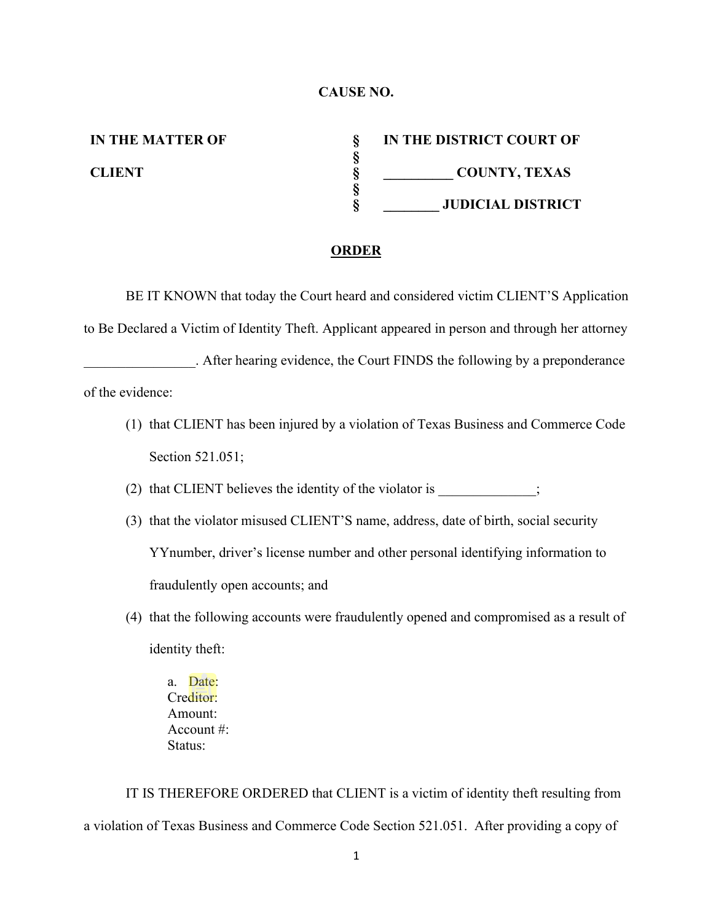## **CAUSE NO.**

**IN THE MATTER OF § IN THE DISTRICT COURT OF § CLIENT § \_\_\_\_\_\_\_\_\_\_ COUNTY, TEXAS § § \_\_\_\_\_\_\_\_ JUDICIAL DISTRICT**

## **ORDER**

BE IT KNOWN that today the Court heard and considered victim CLIENT'S Application to Be Declared a Victim of Identity Theft. Applicant appeared in person and through her attorney \_\_\_\_\_\_\_\_\_\_\_\_\_\_\_\_. After hearing evidence, the Court FINDS the following by a preponderance

of the evidence:

(1) that CLIENT has been injured by a violation of Texas Business and Commerce Code Section 521.051;

(2) that CLIENT believes the identity of the violator is  $\hspace{1.5cm}$ ;

- (3) that the violator misused CLIENT'S name, address, date of birth, social security YYnumber, driver's license number and other personal identifying information to fraudulently open accounts; and
- (4) that the following accounts were fraudulently opened and compromised as a result of identity theft:
	- a. Date: Creditor: Amount: Account #: Status:

IT IS THEREFORE ORDERED that CLIENT is a victim of identity theft resulting from a violation of Texas Business and Commerce Code Section 521.051. After providing a copy of